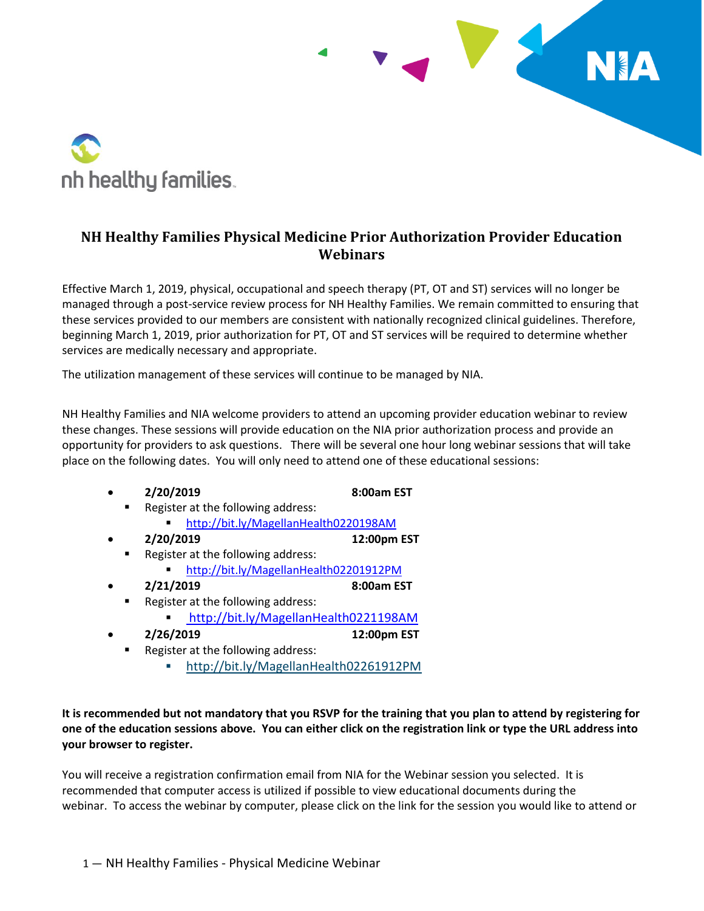

## **NH Healthy Families Physical Medicine Prior Authorization Provider Education Webinars**

**TANK** 

Effective March 1, 2019, physical, occupational and speech therapy (PT, OT and ST) services will no longer be managed through a post-service review process for NH Healthy Families. We remain committed to ensuring that these services provided to our members are consistent with nationally recognized clinical guidelines. Therefore, beginning March 1, 2019, prior authorization for PT, OT and ST services will be required to determine whether services are medically necessary and appropriate.

The utilization management of these services will continue to be managed by NIA.

NH Healthy Families and NIA welcome providers to attend an upcoming provider education webinar to review these changes. These sessions will provide education on the NIA prior authorization process and provide an opportunity for providers to ask questions. There will be several one hour long webinar sessions that will take place on the following dates. You will only need to attend one of these educational sessions:

| 2/20/2019                                          | 8:00am EST |
|----------------------------------------------------|------------|
| Die eindere ein die der Leiten von der Schauen der |            |

- Register at the following address: **<http://bit.ly/MagellanHealth0220198AM>**
- **2/20/2019 12:00pm EST**
- Register at the following address:
	- <http://bit.ly/MagellanHealth02201912PM>
	- **2/21/2019 8:00am EST**
- Register at the following address:
	- <http://bit.ly/MagellanHealth0221198AM>
- **2/26/2019 12:00pm EST**
	- Register at the following address:
		- <http://bit.ly/MagellanHealth02261912PM>

**It is recommended but not mandatory that you RSVP for the training that you plan to attend by registering for one of the education sessions above. You can either click on the registration link or type the URL address into your browser to register.**

You will receive a registration confirmation email from NIA for the Webinar session you selected. It is recommended that computer access is utilized if possible to view educational documents during the webinar. To access the webinar by computer, please click on the link for the session you would like to attend or